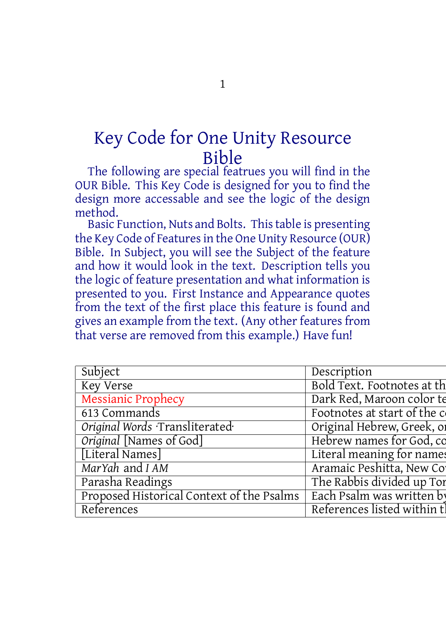## Key Code for One Unity Resource Bible

The following are special featrues you will find in the OUR Bible. This Key Code is designed for you to find the design more accessable and see the logic of the design method.

Basic Function, Nuts and Bolts. Thistable is presenting the Key Code of Features in the One Unity Resource (OUR) Bible. In Subject, you will see the Subject of the feature and how it would look in the text. Description tells you the logic of feature presentation and what information is presented to you. First Instance and Appearance quotes from the text of the first place this feature is found and gives an example from the text. (Any other features from that verse are removed from this example.) Have fun!

| Bold Text. Footnotes at th<br>  Dark Red. Maroon color te<br>613 Commands<br>  Original Words ·Transliterated<br>  Original [Names of God]<br>otes at start of the c<br>Original Hebrew, Greek, of<br>Hebrew names for God, co<br>nc Peshifta. New Col<br>The Rabbis divided up Tor<br>Proposed Historical Context of the Psalms Each Psalm was written by<br>References listed within t. |                  |  |  |  |
|-------------------------------------------------------------------------------------------------------------------------------------------------------------------------------------------------------------------------------------------------------------------------------------------------------------------------------------------------------------------------------------------|------------------|--|--|--|
|                                                                                                                                                                                                                                                                                                                                                                                           |                  |  |  |  |
|                                                                                                                                                                                                                                                                                                                                                                                           |                  |  |  |  |
|                                                                                                                                                                                                                                                                                                                                                                                           |                  |  |  |  |
|                                                                                                                                                                                                                                                                                                                                                                                           |                  |  |  |  |
|                                                                                                                                                                                                                                                                                                                                                                                           |                  |  |  |  |
|                                                                                                                                                                                                                                                                                                                                                                                           |                  |  |  |  |
|                                                                                                                                                                                                                                                                                                                                                                                           | [Literal Names]  |  |  |  |
|                                                                                                                                                                                                                                                                                                                                                                                           | MarYah and I AM  |  |  |  |
|                                                                                                                                                                                                                                                                                                                                                                                           | Parasha Readings |  |  |  |
|                                                                                                                                                                                                                                                                                                                                                                                           |                  |  |  |  |
|                                                                                                                                                                                                                                                                                                                                                                                           | References       |  |  |  |